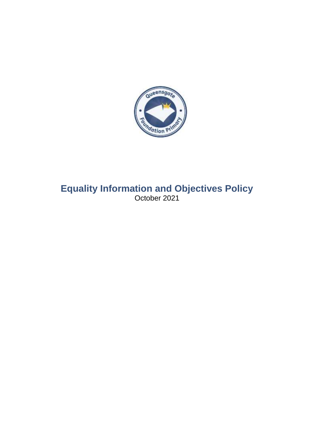

# **Equality Information and Objectives Policy** October 2021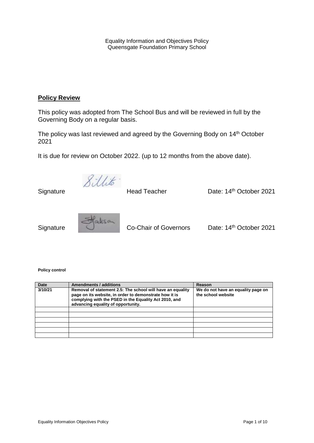Equality Information and Objectives Policy Queensgate Foundation Primary School

## **Policy Review**

This policy was adopted from The School Bus and will be reviewed in full by the Governing Body on a regular basis.

The policy was last reviewed and agreed by the Governing Body on 14<sup>th</sup> October 2021

It is due for review on October 2022. (up to 12 months from the above date).

8 illito

Signature

Head Teacher Date: 14<sup>th</sup> October 2021



Signature Co-Chair of Governors Date: 14<sup>th</sup> October 2021

**Policy control** 

| <b>Date</b> | <b>Amendments / additions</b>                                                                                                                                                                                       | Reason                                                   |
|-------------|---------------------------------------------------------------------------------------------------------------------------------------------------------------------------------------------------------------------|----------------------------------------------------------|
| 3/10/21     | Removal of statement 2.5: The school will have an equality<br>page on its website, in order to demonstrate how it is<br>complying with the PSED in the Equality Act 2010, and<br>advancing equality of opportunity. | We do not have an equality page on<br>the school website |
|             |                                                                                                                                                                                                                     |                                                          |
|             |                                                                                                                                                                                                                     |                                                          |
|             |                                                                                                                                                                                                                     |                                                          |
|             |                                                                                                                                                                                                                     |                                                          |
|             |                                                                                                                                                                                                                     |                                                          |
|             |                                                                                                                                                                                                                     |                                                          |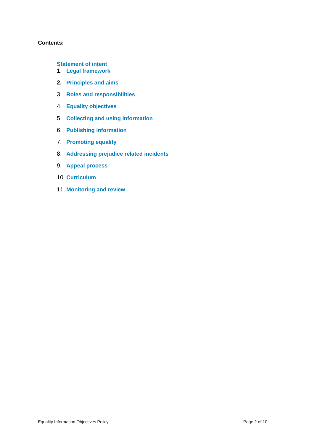## **Contents:**

- **[Statement of intent](#page-3-0)**
- 1. **[Legal framework](#page-4-0)**
- **2. [Principles and aims](#page-5-0)**
- 3. **[Roles and responsibilities](#page-6-0)**
- 4. **[Equality objectives](#page-7-0)**
- 5. **[Collecting and using information](#page-7-1)**
- 6. **[Publishing information](#page-7-2)**
- 7. **[Promoting equality](#page-8-0)**
- 8. **[Addressing prejudice related incidents](#page-8-1)**
- 9. **[Appeal process](#page-9-0)**
- 10. **[Curriculum](#page-9-1)**
- 11. **[Monitoring and review](#page-9-2)**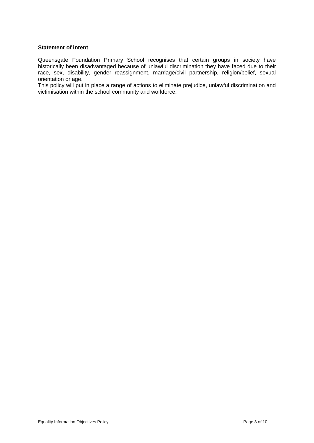#### <span id="page-3-0"></span>**Statement of intent**

Queensgate Foundation Primary School recognises that certain groups in society have historically been disadvantaged because of unlawful discrimination they have faced due to their race, sex, disability, gender reassignment, marriage/civil partnership, religion/belief, sexual orientation or age.

This policy will put in place a range of actions to eliminate prejudice, unlawful discrimination and victimisation within the school community and workforce.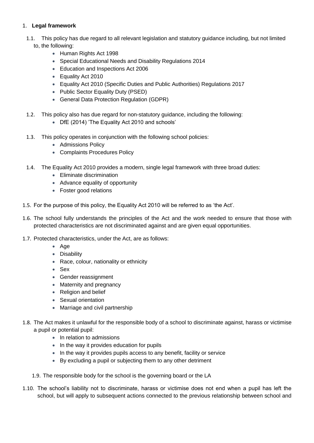## <span id="page-4-0"></span>1. **Legal framework**

- 1.1. This policy has due regard to all relevant legislation and statutory guidance including, but not limited to, the following:
	- Human Rights Act 1998
	- Special Educational Needs and Disability Regulations 2014
	- **Education and Inspections Act 2006**
	- **Equality Act 2010**
	- Equality Act 2010 (Specific Duties and Public Authorities) Regulations 2017
	- Public Sector Equality Duty (PSED)
	- General Data Protection Regulation (GDPR)
- 1.2. This policy also has due regard for non-statutory guidance, including the following:
	- DfE (2014) 'The Equality Act 2010 and schools'
- 1.3. This policy operates in conjunction with the following school policies:
	- Admissions Policy
	- Complaints Procedures Policy
- 1.4. The Equality Act 2010 provides a modern, single legal framework with three broad duties:
	- Eliminate discrimination
	- Advance equality of opportunity
	- Foster good relations
- 1.5. For the purpose of this policy, the Equality Act 2010 will be referred to as 'the Act'.
- 1.6. The school fully understands the principles of the Act and the work needed to ensure that those with protected characteristics are not discriminated against and are given equal opportunities.
- 1.7. Protected characteristics, under the Act, are as follows:
	- $\bullet$  Age
	- Disability
	- Race, colour, nationality or ethnicity
	- Sex
	- Gender reassignment
	- Maternity and pregnancy
	- Religion and belief
	- Sexual orientation
	- Marriage and civil partnership
- 1.8. The Act makes it unlawful for the responsible body of a school to discriminate against, harass or victimise a pupil or potential pupil:
	- In relation to admissions
	- In the way it provides education for pupils
	- In the way it provides pupils access to any benefit, facility or service
	- By excluding a pupil or subjecting them to any other detriment
	- 1.9. The responsible body for the school is the governing board or the LA
- 1.10. The school's liability not to discriminate, harass or victimise does not end when a pupil has left the school, but will apply to subsequent actions connected to the previous relationship between school and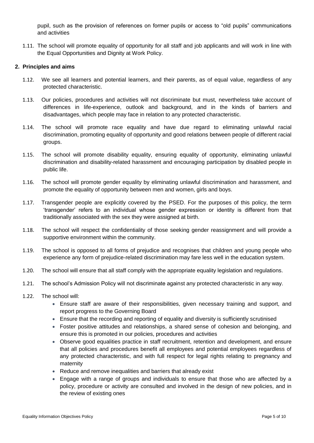pupil, such as the provision of references on former pupils or access to "old pupils" communications and activities

1.11. The school will promote equality of opportunity for all staff and job applicants and will work in line with the Equal Opportunities and Dignity at Work Policy.

#### <span id="page-5-0"></span>**2. Principles and aims**

- 1.12. We see all learners and potential learners, and their parents, as of equal value, regardless of any protected characteristic.
- 1.13. Our policies, procedures and activities will not discriminate but must, nevertheless take account of differences in life-experience, outlook and background, and in the kinds of barriers and disadvantages, which people may face in relation to any protected characteristic.
- 1.14. The school will promote race equality and have due regard to eliminating unlawful racial discrimination, promoting equality of opportunity and good relations between people of different racial groups.
- 1.15. The school will promote disability equality, ensuring equality of opportunity, eliminating unlawful discrimination and disability-related harassment and encouraging participation by disabled people in public life.
- 1.16. The school will promote gender equality by eliminating unlawful discrimination and harassment, and promote the equality of opportunity between men and women, girls and boys.
- 1.17. Transgender people are explicitly covered by the PSED. For the purposes of this policy, the term 'transgender' refers to an individual whose gender expression or identity is different from that traditionally associated with the sex they were assigned at birth.
- 1.18. The school will respect the confidentiality of those seeking gender reassignment and will provide a supportive environment within the community.
- 1.19. The school is opposed to all forms of prejudice and recognises that children and young people who experience any form of prejudice-related discrimination may fare less well in the education system.
- 1.20. The school will ensure that all staff comply with the appropriate equality legislation and regulations.
- 1.21. The school's Admission Policy will not discriminate against any protected characteristic in any way.
- 1.22. The school will:
	- Ensure staff are aware of their responsibilities, given necessary training and support, and report progress to the Governing Board
	- Ensure that the recording and reporting of equality and diversity is sufficiently scrutinised
	- Foster positive attitudes and relationships, a shared sense of cohesion and belonging, and ensure this is promoted in our policies, procedures and activities
	- Observe good equalities practice in staff recruitment, retention and development, and ensure that all policies and procedures benefit all employees and potential employees regardless of any protected characteristic, and with full respect for legal rights relating to pregnancy and maternity
	- Reduce and remove inequalities and barriers that already exist
	- Engage with a range of groups and individuals to ensure that those who are affected by a policy, procedure or activity are consulted and involved in the design of new policies, and in the review of existing ones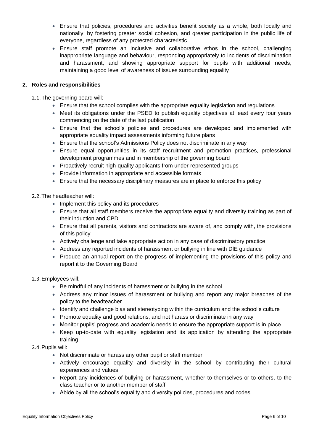- Ensure that policies, procedures and activities benefit society as a whole, both locally and nationally, by fostering greater social cohesion, and greater participation in the public life of everyone, regardless of any protected characteristic
- Ensure staff promote an inclusive and collaborative ethos in the school, challenging inappropriate language and behaviour, responding appropriately to incidents of discrimination and harassment, and showing appropriate support for pupils with additional needs, maintaining a good level of awareness of issues surrounding equality

## <span id="page-6-0"></span>**2. Roles and responsibilities**

2.1.The governing board will:

- Ensure that the school complies with the appropriate equality legislation and regulations
- Meet its obligations under the PSED to publish equality objectives at least every four years commencing on the date of the last publication
- Ensure that the school's policies and procedures are developed and implemented with appropriate equality impact assessments informing future plans
- Ensure that the school's Admissions Policy does not discriminate in any way
- Ensure equal opportunities in its staff recruitment and promotion practices, professional development programmes and in membership of the governing board
- Proactively recruit high-quality applicants from under-represented groups
- Provide information in appropriate and accessible formats
- Ensure that the necessary disciplinary measures are in place to enforce this policy
- 2.2.The headteacher will:
	- Implement this policy and its procedures
	- Ensure that all staff members receive the appropriate equality and diversity training as part of their induction and CPD
	- Ensure that all parents, visitors and contractors are aware of, and comply with, the provisions of this policy
	- Actively challenge and take appropriate action in any case of discriminatory practice
	- Address any reported incidents of harassment or bullying in line with DfE guidance
	- Produce an annual report on the progress of implementing the provisions of this policy and report it to the Governing Board

## 2.3.Employees will:

- Be mindful of any incidents of harassment or bullying in the school
- Address any minor issues of harassment or bullying and report any major breaches of the policy to the headteacher
- Identify and challenge bias and stereotyping within the curriculum and the school's culture
- Promote equality and good relations, and not harass or discriminate in any way
- Monitor pupils' progress and academic needs to ensure the appropriate support is in place
- Keep up-to-date with equality legislation and its application by attending the appropriate training

## 2.4.Pupils will:

- Not discriminate or harass any other pupil or staff member
- Actively encourage equality and diversity in the school by contributing their cultural experiences and values
- Report any incidences of bullying or harassment, whether to themselves or to others, to the class teacher or to another member of staff
- Abide by all the school's equality and diversity policies, procedures and codes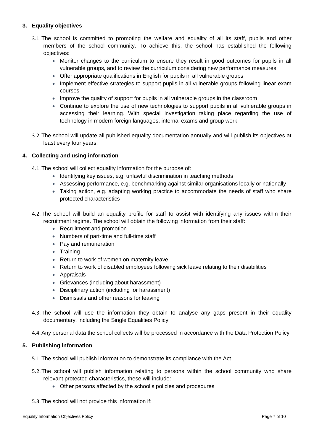## <span id="page-7-0"></span>**3. Equality objectives**

- 3.1.The school is committed to promoting the welfare and equality of all its staff, pupils and other members of the school community. To achieve this, the school has established the following objectives:
	- Monitor changes to the curriculum to ensure they result in good outcomes for pupils in all vulnerable groups, and to review the curriculum considering new performance measures
	- Offer appropriate qualifications in English for pupils in all vulnerable groups
	- Implement effective strategies to support pupils in all vulnerable groups following linear exam courses
	- Improve the quality of support for pupils in all vulnerable groups in the classroom
	- Continue to explore the use of new technologies to support pupils in all vulnerable groups in accessing their learning. With special investigation taking place regarding the use of technology in modern foreign languages, internal exams and group work
- 3.2.The school will update all published equality documentation annually and will publish its objectives at least every four years.

## <span id="page-7-1"></span>**4. Collecting and using information**

- 4.1.The school will collect equality information for the purpose of:
	- Identifying key issues, e.g. unlawful discrimination in teaching methods
	- Assessing performance, e.g. benchmarking against similar organisations locally or nationally
	- Taking action, e.g. adapting working practice to accommodate the needs of staff who share protected characteristics
- 4.2.The school will build an equality profile for staff to assist with identifying any issues within their recruitment regime. The school will obtain the following information from their staff:
	- Recruitment and promotion
	- Numbers of part-time and full-time staff
	- Pay and remuneration
	- Training
	- Return to work of women on maternity leave
	- Return to work of disabled employees following sick leave relating to their disabilities
	- Appraisals
	- Grievances (including about harassment)
	- Disciplinary action (including for harassment)
	- Dismissals and other reasons for leaving
- 4.3.The school will use the information they obtain to analyse any gaps present in their equality documentary, including the Single Equalities Policy

4.4.Any personal data the school collects will be processed in accordance with the Data Protection Policy

## <span id="page-7-2"></span>**5. Publishing information**

- 5.1.The school will publish information to demonstrate its compliance with the Act.
- 5.2.The school will publish information relating to persons within the school community who share relevant protected characteristics, these will include:
	- Other persons affected by the school's policies and procedures
- 5.3.The school will not provide this information if: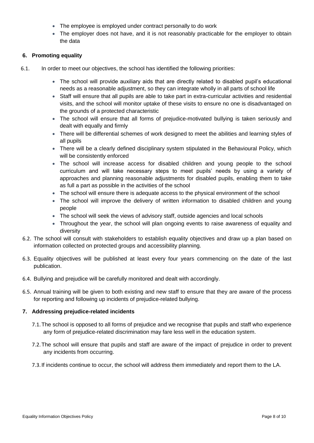- The employee is employed under contract personally to do work
- The employer does not have, and it is not reasonably practicable for the employer to obtain the data

## <span id="page-8-0"></span>**6. Promoting equality**

- 6.1. In order to meet our objectives, the school has identified the following priorities:
	- The school will provide auxiliary aids that are directly related to disabled pupil's educational needs as a reasonable adjustment, so they can integrate wholly in all parts of school life
	- Staff will ensure that all pupils are able to take part in extra-curricular activities and residential visits, and the school will monitor uptake of these visits to ensure no one is disadvantaged on the grounds of a protected characteristic
	- The school will ensure that all forms of prejudice-motivated bullying is taken seriously and dealt with equally and firmly
	- There will be differential schemes of work designed to meet the abilities and learning styles of all pupils
	- There will be a clearly defined disciplinary system stipulated in the Behavioural Policy, which will be consistently enforced
	- The school will increase access for disabled children and young people to the school curriculum and will take necessary steps to meet pupils' needs by using a variety of approaches and planning reasonable adjustments for disabled pupils, enabling them to take as full a part as possible in the activities of the school
	- The school will ensure there is adequate access to the physical environment of the school
	- The school will improve the delivery of written information to disabled children and young people
	- The school will seek the views of advisory staff, outside agencies and local schools
	- Throughout the year, the school will plan ongoing events to raise awareness of equality and diversity
- 6.2. The school will consult with stakeholders to establish equality objectives and draw up a plan based on information collected on protected groups and accessibility planning.
- 6.3. Equality objectives will be published at least every four years commencing on the date of the last publication.
- 6.4. Bullying and prejudice will be carefully monitored and dealt with accordingly.
- 6.5. Annual training will be given to both existing and new staff to ensure that they are aware of the process for reporting and following up incidents of prejudice-related bullying.

## <span id="page-8-1"></span>**7. Addressing prejudice-related incidents**

- 7.1.The school is opposed to all forms of prejudice and we recognise that pupils and staff who experience any form of prejudice-related discrimination may fare less well in the education system.
- 7.2.The school will ensure that pupils and staff are aware of the impact of prejudice in order to prevent any incidents from occurring.
- 7.3.If incidents continue to occur, the school will address them immediately and report them to the LA.